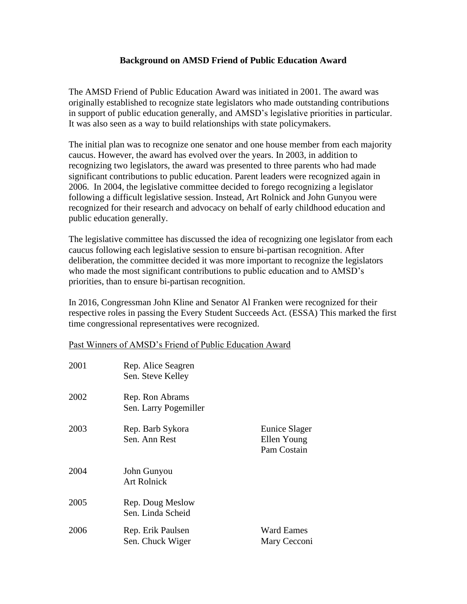## **Background on AMSD Friend of Public Education Award**

The AMSD Friend of Public Education Award was initiated in 2001. The award was originally established to recognize state legislators who made outstanding contributions in support of public education generally, and AMSD's legislative priorities in particular. It was also seen as a way to build relationships with state policymakers.

The initial plan was to recognize one senator and one house member from each majority caucus. However, the award has evolved over the years. In 2003, in addition to recognizing two legislators, the award was presented to three parents who had made significant contributions to public education. Parent leaders were recognized again in 2006. In 2004, the legislative committee decided to forego recognizing a legislator following a difficult legislative session. Instead, Art Rolnick and John Gunyou were recognized for their research and advocacy on behalf of early childhood education and public education generally.

The legislative committee has discussed the idea of recognizing one legislator from each caucus following each legislative session to ensure bi-partisan recognition. After deliberation, the committee decided it was more important to recognize the legislators who made the most significant contributions to public education and to AMSD's priorities, than to ensure bi-partisan recognition.

In 2016, Congressman John Kline and Senator Al Franken were recognized for their respective roles in passing the Every Student Succeeds Act. (ESSA) This marked the first time congressional representatives were recognized.

## Past Winners of AMSD's Friend of Public Education Award

| 2001 | Rep. Alice Seagren<br>Sen. Steve Kelley  |                                             |
|------|------------------------------------------|---------------------------------------------|
| 2002 | Rep. Ron Abrams<br>Sen. Larry Pogemiller |                                             |
| 2003 | Rep. Barb Sykora<br>Sen. Ann Rest        | Eunice Slager<br>Ellen Young<br>Pam Costain |
| 2004 | John Gunyou<br><b>Art Rolnick</b>        |                                             |
| 2005 | Rep. Doug Meslow<br>Sen. Linda Scheid    |                                             |
| 2006 | Rep. Erik Paulsen<br>Sen. Chuck Wiger    | Ward Eames<br>Mary Cecconi                  |